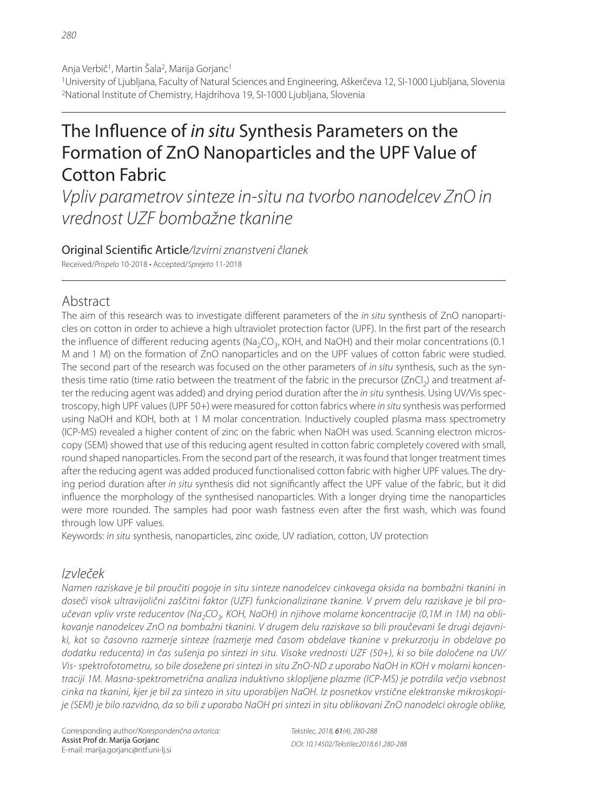1University of Ljubljana, Faculty of Natural Sciences and Engineering, Aškerčeva 12, SI-1000 Ljubljana, Slovenia <sup>2</sup>National Institute of Chemistry, Haidrihova 19, SI-1000 Liubliana, Slovenia

# The Influence of in situ Synthesis Parameters on the Formation of ZnO Nanoparticles and the UPF Value of Cotton Fabric

Vpliv parametrov sinteze in-situ na tvorbo nanodelcev ZnO in vrednost UZF bombažne tkanine

Original Scientific Article/Izvirni znanstveni članek Received/Prispelo 10-2018 • Accepted/Sprejeto 11-2018

# Abstract

The aim of this research was to investigate different parameters of the in situ synthesis of ZnO nanoparticles on cotton in order to achieve a high ultraviolet protection factor (UPF). In the first part of the research the influence of different reducing agents ( $Na<sub>2</sub>CO<sub>3</sub>$ , KOH, and NaOH) and their molar concentrations (0.1 M and 1 M) on the formation of ZnO nanoparticles and on the UPF values of cotton fabric were studied. The second part of the research was focused on the other parameters of in situ synthesis, such as the synthesis time ratio (time ratio between the treatment of the fabric in the precursor  $(ZnCl<sub>2</sub>)$  and treatment after the reducing agent was added) and drying period duration after the in situ synthesis. Using UV/Vis spectroscopy, high UPF values (UPF 50+) were measured for cotton fabrics where in situ synthesis was performed using NaOH and KOH, both at 1 M molar concentration. Inductively coupled plasma mass spectrometry (ICP-MS) revealed a higher content of zinc on the fabric when NaOH was used. Scanning electron microscopy (SEM) showed that use of this reducing agent resulted in cotton fabric completely covered with small, round shaped nanoparticles. From the second part of the research, it was found that longer treatment times after the reducing agent was added produced functionalised cotton fabric with higher UPF values. The drying period duration after in situ synthesis did not significantly affect the UPF value of the fabric, but it did influence the morphology of the synthesised nanoparticles. With a longer drying time the nanoparticles were more rounded. The samples had poor wash fastness even after the first wash, which was found through low UPF values.

Keywords: in situ synthesis, nanoparticles, zinc oxide, UV radiation, cotton, UV protection

# Izvleček

Namen raziskave je bil proučiti pogoje in situ sinteze nanodelcev cinkovega oksida na bombažni tkanini in doseči visok ultravijolični zaščitni faktor (UZF) funkcionalizirane tkanine. V prvem delu raziskave je bil proučevan vpliv vrste reducentov (Na<sub>2</sub>CO<sub>3</sub>, KOH, NaOH) in njihove molarne koncentracije (0,1M in 1M) na oblikovanje nanodelcev ZnO na bombažni tkanini. V drugem delu raziskave so bili proučevani še drugi dejavniki, kot so časovno razmerje sinteze (razmerje med časom obdelave tkanine v prekurzorju in obdelave po dodatku reducenta) in čas sušenja po sintezi in situ. Visoke vrednosti UZF (50+), ki so bile določene na UV/ Vis- spektrofotometru, so bile dosežene pri sintezi in situ ZnO-ND z uporabo NaOH in KOH v molarni koncentraciji 1M. Masna-spektrometrična analiza induktivno sklopljene plazme (ICP-MS) je potrdila večjo vsebnost cinka na tkanini, kjer je bil za sintezo in situ uporabljen NaOH. Iz posnetkov vrstične elektronske mikroskopije (SEM) je bilo razvidno, da so bili z uporabo NaOH pri sintezi in situ oblikovani ZnO nanodelci okrogle oblike,

Corresponding author/Korespondenčna avtorica: Assist Prof dr. Marija Gorjanc E-mail: marija.gorjanc@ntf.uni-lj.si

Tekstilec, 2018, 61(4), 280-288 DOI: 10.14502/Tekstilec2018.61.280-288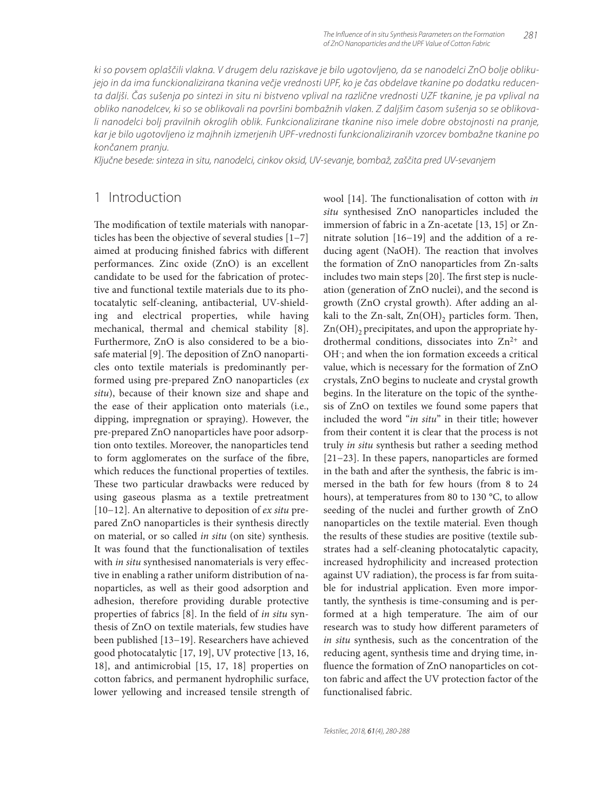ki so povsem oplaščili vlakna. V drugem delu raziskave je bilo ugotovljeno, da se nanodelci ZnO bolje oblikujejo in da ima funckionalizirana tkanina večje vrednosti UPF, ko je čas obdelave tkanine po dodatku reducenta daljši. Čas sušenja po sintezi in situ ni bistveno vplival na različne vrednosti UZF tkanine, je pa vplival na obliko nanodelcev, ki so se oblikovali na površini bombažnih vlaken. Z daljšim časom sušenja so se oblikovali nanodelci bolj pravilnih okroglih oblik. Funkcionalizirane tkanine niso imele dobre obstojnosti na pranje, kar je bilo ugotovljeno iz majhnih izmerjenih UPF-vrednosti funkcionaliziranih vzorcev bombažne tkanine po končanem pranju.

Ključne besede: sinteza in situ, nanodelci, cinkov oksid, UV-sevanje, bombaž, zaščita pred UV-sevanjem

## 1 Introduction

The modification of textile materials with nanoparticles has been the objective of several studies [1−7] aimed at producing finished fabrics with different performances. Zinc oxide (ZnO) is an excellent candidate to be used for the fabrication of protective and functional textile materials due to its photocatalytic self-cleaning, antibacterial, UV-shielding and electrical properties, while having mechanical, thermal and chemical stability [8]. Furthermore, ZnO is also considered to be a biosafe material [9]. The deposition of ZnO nanoparticles onto textile materials is predominantly performed using pre-prepared ZnO nanoparticles (*ex situ*), because of their known size and shape and the ease of their application onto materials (i.e., dipping, impregnation or spraying). However, the pre-prepared ZnO nanoparticles have poor adsorption onto textiles. Moreover, the nanoparticles tend to form agglomerates on the surface of the fibre, which reduces the functional properties of textiles. These two particular drawbacks were reduced by using gaseous plasma as a textile pretreatment [10−12]. An alternative to deposition of *ex situ* prepared ZnO nanoparticles is their synthesis directly on material, or so called *in situ* (on site) synthesis. It was found that the functionalisation of textiles with *in situ* synthesised nanomaterials is very effective in enabling a rather uniform distribution of nanoparticles, as well as their good adsorption and adhesion, therefore providing durable protective properties of fabrics [8]. In the field of *in situ* synthesis of ZnO on textile materials, few studies have been published [13−19]. Researchers have achieved good photocatalytic [17, 19], UV protective [13, 16, 18], and antimicrobial [15, 17, 18] properties on cotton fabrics, and permanent hydrophilic surface, lower yellowing and increased tensile strength of

wool [14]. The functionalisation of cotton with *in situ* synthesised ZnO nanoparticles included the immersion of fabric in a Zn-acetate [13, 15] or Znnitrate solution [16−19] and the addition of a reducing agent (NaOH). The reaction that involves the formation of ZnO nanoparticles from Zn-salts includes two main steps [20]. The first step is nucleation (generation of ZnO nuclei), and the second is growth (ZnO crystal growth). After adding an alkali to the Zn-salt,  $Zn(OH)$ <sub>2</sub> particles form. Then,  $Zn(OH)$ <sub>2</sub> precipitates, and upon the appropriate hydrothermal conditions, dissociates into Zn<sup>2+</sup> and OH; and when the ion formation exceeds a critical value, which is necessary for the formation of ZnO crystals, ZnO begins to nucleate and crystal growth begins. In the literature on the topic of the synthesis of ZnO on textiles we found some papers that included the word "*in situ*" in their title; however from their content it is clear that the process is not truly *in situ* synthesis but rather a seeding method [21−23]. In these papers, nanoparticles are formed in the bath and after the synthesis, the fabric is immersed in the bath for few hours (from 8 to 24 hours), at temperatures from 80 to 130 °C, to allow seeding of the nuclei and further growth of ZnO nanoparticles on the textile material. Even though the results of these studies are positive (textile substrates had a self-cleaning photocatalytic capacity, increased hydrophilicity and increased protection against UV radiation), the process is far from suitable for industrial application. Even more importantly, the synthesis is time-consuming and is performed at a high temperature. The aim of our research was to study how different parameters of *in situ* synthesis, such as the concentration of the reducing agent, synthesis time and drying time, influence the formation of ZnO nanoparticles on cotton fabric and affect the UV protection factor of the functionalised fabric.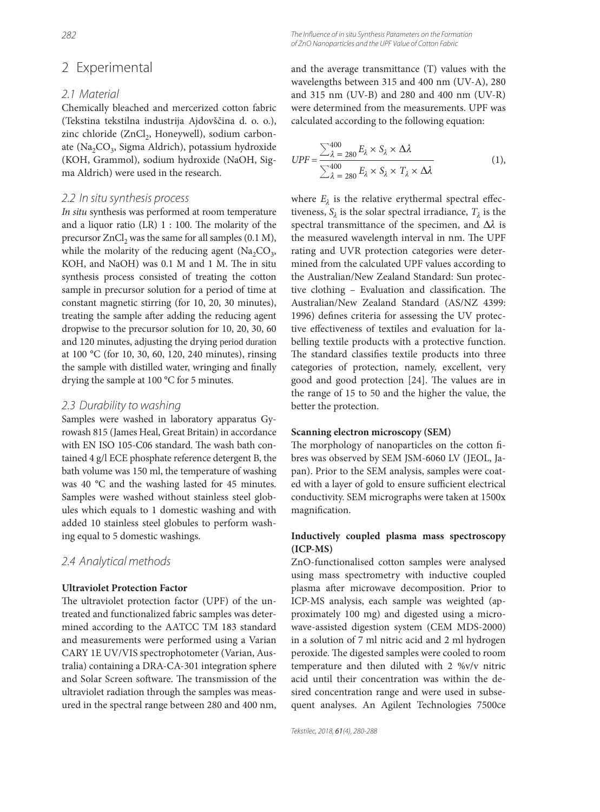# 2 Experimental

#### 2.1 Material

Chemically bleached and mercerized cotton fabric (Tekstina tekstilna industrija Ajdovščina d. o. o.), zinc chloride (ZnCl<sub>2</sub>, Honeywell), sodium carbonate (Na<sub>2</sub>CO<sub>3</sub>, Sigma Aldrich), potassium hydroxide (KOH, Grammol), sodium hydroxide (NaOH, Sigma Aldrich) were used in the research.

#### 2.2 In situ synthesis process

*In situ* synthesis was performed at room temperature and a liquor ratio (LR)  $1:100$ . The molarity of the precursor  $ZnCl<sub>2</sub>$  was the same for all samples (0.1 M), while the molarity of the reducing agent  $(Na_2CO_3,$ KOH, and NaOH) was 0.1 M and 1 M. The in situ synthesis process consisted of treating the cotton sample in precursor solution for a period of time at constant magnetic stirring (for 10, 20, 30 minutes), treating the sample after adding the reducing agent dropwise to the precursor solution for 10, 20, 30, 60 and 120 minutes, adjusting the drying period duration at 100 °C (for 10, 30, 60, 120, 240 minutes), rinsing the sample with distilled water, wringing and finally drying the sample at 100 °C for 5 minutes.

#### 2.3 Durability to washing

Samples were washed in laboratory apparatus Gyrowash 815 (James Heal, Great Britain) in accordance with EN ISO 105-C06 standard. The wash bath contained 4 g/l ECE phosphate reference detergent B, the bath volume was 150 ml, the temperature of washing was 40 °C and the washing lasted for 45 minutes. Samples were washed without stainless steel globules which equals to 1 domestic washing and with added 10 stainless steel globules to perform washing equal to 5 domestic washings.

#### 2.4 Analytical methods

#### **Ultraviolet Protection Factor**

The ultraviolet protection factor (UPF) of the untreated and functionalized fabric samples was determined according to the AATCC TM 183 standard and measurements were performed using a Varian CARY 1E UV/VIS spectrophotometer (Varian, Australia) containing a DRA-CA-301 integration sphere and Solar Screen software. The transmission of the ultraviolet radiation through the samples was measured in the spectral range between 280 and 400 nm, and the average transmittance (T) values with the wavelengths between 315 and 400 nm (UV-A), 280 and 315 nm (UV-B) and 280 and 400 nm (UV-R) were determined from the measurements. UPF was calculated according to the following equation:

$$
UPF = \frac{\sum_{\lambda=280}^{400} E_{\lambda} \times S_{\lambda} \times \Delta \lambda}{\sum_{\lambda=280}^{400} E_{\lambda} \times S_{\lambda} \times T_{\lambda} \times \Delta \lambda}
$$
(1),

where  $E_{\lambda}$  is the relative erythermal spectral effectiveness,  $S_{\lambda}$  is the solar spectral irradiance,  $T_{\lambda}$  is the spectral transmittance of the specimen, and  $\Delta\lambda$  is the measured wavelength interval in nm. The UPF rating and UVR protection categories were determined from the calculated UPF values according to the Australian/New Zealand Standard: Sun protective clothing - Evaluation and classification. The Australian/New Zealand Standard (AS/NZ 4399: 1996) defines criteria for assessing the UV protective effectiveness of textiles and evaluation for labelling textile products with a protective function. The standard classifies textile products into three categories of protection, namely, excellent, very good and good protection [24]. The values are in the range of 15 to 50 and the higher the value, the better the protection.

#### **Scanning electron microscopy (SEM)**

The morphology of nanoparticles on the cotton fibres was observed by SEM JSM-6060 LV (JEOL, Japan). Prior to the SEM analysis, samples were coated with a layer of gold to ensure sufficient electrical conductivity. SEM micrographs were taken at 1500x magnification.

#### **Inductively coupled plasma mass spectroscopy (ICP-MS)**

ZnO-functionalised cotton samples were analysed using mass spectrometry with inductive coupled plasma after microwave decomposition. Prior to ICP-MS analysis, each sample was weighted (approximately 100 mg) and digested using a microwave-assisted digestion system (CEM MDS-2000) in a solution of 7 ml nitric acid and 2 ml hydrogen peroxide. The digested samples were cooled to room temperature and then diluted with 2 %v/v nitric acid until their concentration was within the desired concentration range and were used in subsequent analyses. An Agilent Technologies 7500ce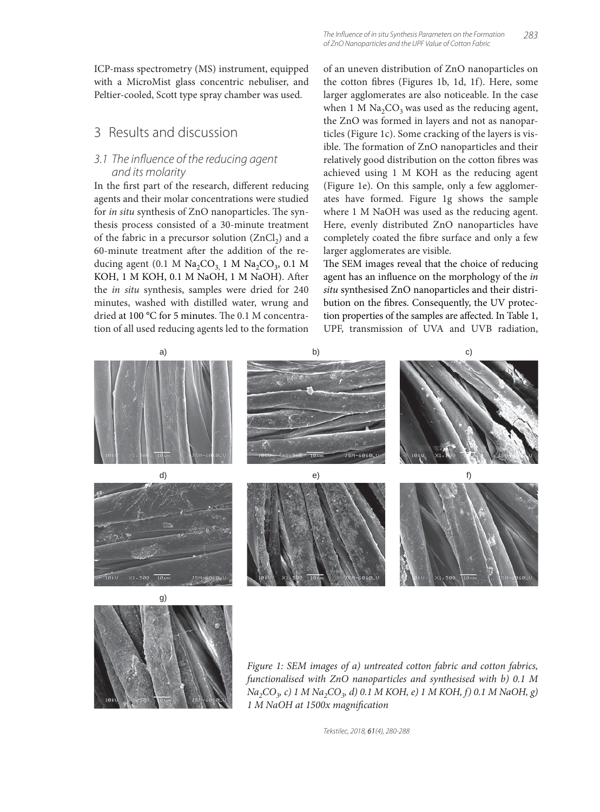ICP-mass spectrometry (MS) instrument, equipped with a MicroMist glass concentric nebuliser, and Peltier-cooled, Scott type spray chamber was used.

# 3 Results and discussion

#### 3.1 The influence of the reducing agent and its molarity

In the first part of the research, different reducing agents and their molar concentrations were studied for *in situ* synthesis of ZnO nanoparticles. The synthesis process consisted of a 30-minute treatment of the fabric in a precursor solution  $(ZnCl<sub>2</sub>)$  and a 60-minute treatment after the addition of the reducing agent (0.1 M  $\text{Na}_2\text{CO}_3$ , 1 M  $\text{Na}_2\text{CO}_3$ , 0.1 M KOH, 1 M KOH, 0.1 M NaOH, 1 M NaOH). After the *in situ* synthesis, samples were dried for 240 minutes, washed with distilled water, wrung and dried at 100 °C for 5 minutes. The 0.1 M concentration of all used reducing agents led to the formation

of an uneven distribution of ZnO nanoparticles on the cotton fibres (Figures 1b, 1d, 1f). Here, some larger agglomerates are also noticeable. In the case when 1 M  $Na<sub>2</sub>CO<sub>3</sub>$  was used as the reducing agent, the ZnO was formed in layers and not as nanoparticles (Figure 1c). Some cracking of the layers is visible. The formation of ZnO nanoparticles and their relatively good distribution on the cotton fibres was achieved using 1 M KOH as the reducing agent (Figure 1e). On this sample, only a few agglomerates have formed. Figure 1g shows the sample where 1 M NaOH was used as the reducing agent. Here, evenly distributed ZnO nanoparticles have completely coated the fibre surface and only a few larger agglomerates are visible.

The SEM images reveal that the choice of reducing agent has an influence on the morphology of the *in situ* synthesised ZnO nanoparticles and their distribution on the fibres. Consequently, the UV protection properties of the samples are affected. In Table 1, UPF, transmission of UVA and UVB radiation,





*Figure 1: SEM images of a) untreated cotton fabric and cotton fabrics, functionalised with ZnO nanoparticles and synthesised with b) 0.1 M Na2CO3, c) 1 M Na2CO3, d) 0.1 M KOH, e) 1 M KOH, f) 0.1 M NaOH, g) 1 M NaOH at 1500x magnifi cation*

Tekstilec, 2018, 61(4), 280-288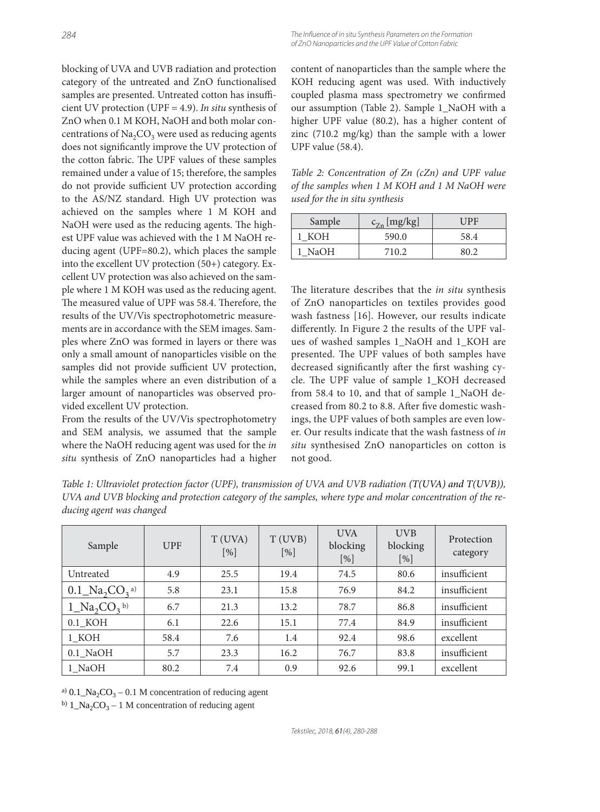blocking of UVA and UVB radiation and protection category of the untreated and ZnO functionalised samples are presented. Untreated cotton has insufficient UV protection (UPF = 4.9). *In situ* synthesis of ZnO when 0.1 M KOH, NaOH and both molar concentrations of  $Na<sub>2</sub>CO<sub>3</sub>$  were used as reducing agents does not significantly improve the UV protection of the cotton fabric. The UPF values of these samples remained under a value of 15; therefore, the samples do not provide sufficient UV protection according to the AS/NZ standard. High UV protection was achieved on the samples where 1 M KOH and NaOH were used as the reducing agents. The highest UPF value was achieved with the 1 M NaOH reducing agent (UPF=80.2), which places the sample into the excellent UV protection (50+) category. Excellent UV protection was also achieved on the sample where 1 M KOH was used as the reducing agent. The measured value of UPF was 58.4. Therefore, the results of the UV/Vis spectrophotometric measurements are in accordance with the SEM images. Samples where ZnO was formed in layers or there was only a small amount of nanoparticles visible on the samples did not provide sufficient UV protection, while the samples where an even distribution of a larger amount of nanoparticles was observed provided excellent UV protection.

From the results of the UV/Vis spectrophotometry and SEM analysis, we assumed that the sample where the NaOH reducing agent was used for the *in situ* synthesis of ZnO nanoparticles had a higher

content of nanoparticles than the sample where the KOH reducing agent was used. With inductively coupled plasma mass spectrometry we confirmed our assumption (Table 2). Sample 1\_NaOH with a higher UPF value (80.2), has a higher content of

The Influence of in situ Synthesis Parameters on the Formation of ZnO Nanoparticles and the UPF Value of Cotton Fabric

*Table 2: Concentration of Zn (cZn) and UPF value of the samples when 1 M KOH and 1 M NaOH were used for the in situ synthesis*

zinc (710.2 mg/kg) than the sample with a lower

UPF value (58.4).

| Sample | $c_{Zn}$ [mg/kg] | UPF  |  |  |
|--------|------------------|------|--|--|
| КОН    | 590.0            | 58.4 |  |  |
| . NaOH | 710.2            | 80 J |  |  |

The literature describes that the *in situ* synthesis of ZnO nanoparticles on textiles provides good wash fastness [16]. However, our results indicate differently. In Figure 2 the results of the UPF values of washed samples 1\_NaOH and 1\_KOH are presented. The UPF values of both samples have decreased significantly after the first washing cycle. The UPF value of sample 1\_KOH decreased from 58.4 to 10, and that of sample 1\_NaOH decreased from 80.2 to 8.8. After five domestic washings, the UPF values of both samples are even lower. Our results indicate that the wash fastness of *in situ* synthesised ZnO nanoparticles on cotton is not good.

*Table 1: Ultraviolet protection factor (UPF), transmission of UVA and UVB radiation (T(UVA) and T(UVB)), UVA and UVB blocking and protection category of the samples, where type and molar concentration of the reducing agent was changed*

| Sample                              | <b>UPF</b> | T (UVA)<br>$[\%]$ | T(UVB)<br>$[\%]$ | <b>UVA</b><br>blocking<br>$[\%]$ | <b>UVB</b><br>blocking<br>[%] | Protection<br>category |
|-------------------------------------|------------|-------------------|------------------|----------------------------------|-------------------------------|------------------------|
| Untreated                           | 4.9        | 25.5              | 19.4             | 74.5                             | 80.6                          | insufficient           |
| $0.1\_\text{Na}_2\text{CO}_3{}^{a}$ | 5.8        | 23.1              | 15.8             | 76.9                             | 84.2                          | insufficient           |
| $1_{\rm A}CO_3{}^{\rm b}$           | 6.7        | 21.3              | 13.2             | 78.7                             | 86.8                          | insufficient           |
| $0.1$ <sub><math>KOH</math></sub>   | 6.1        | 22.6              | 15.1             | 77.4                             | 84.9                          | insufficient           |
| 1 KOH                               | 58.4       | 7.6               | 1.4              | 92.4                             | 98.6                          | excellent              |
| $0.1$ NaOH                          | 5.7        | 23.3              | 16.2             | 76.7                             | 83.8                          | insufficient           |
| 1 NaOH                              | 80.2       | 7.4               | 0.9              | 92.6                             | 99.1                          | excellent              |

a)  $0.1$ <sub>Na<sub>2</sub>CO<sub>3</sub> – 0.1 M concentration of reducing agent</sub>

<sup>b)</sup>  $1$ <sub>-</sub>Na<sub>2</sub>CO<sub>3</sub> – 1 M concentration of reducing agent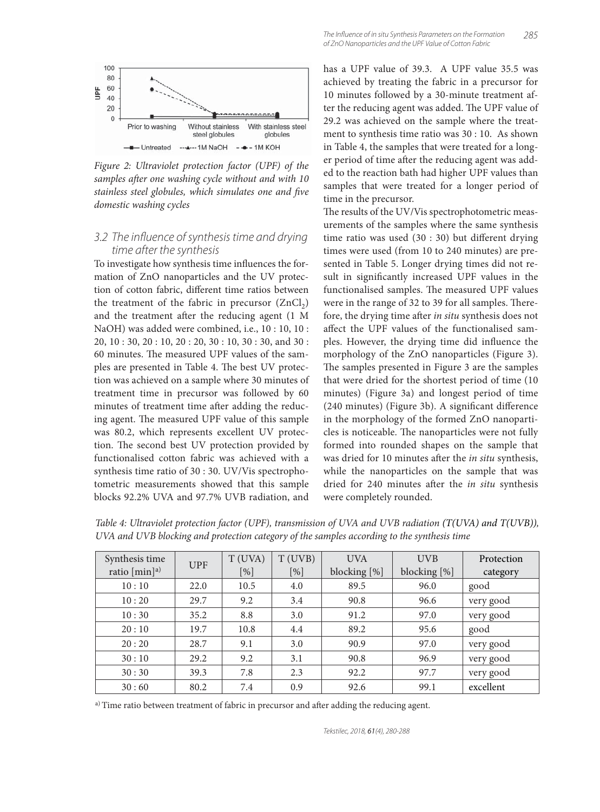

*Figure 2: Ultraviolet protection factor (UPF) of the*  samples after one washing cycle without and with 10 stainless steel globules, which simulates one and five *domestic washing cycles*

#### 3.2 The influence of synthesis time and drying time after the synthesis

To investigate how synthesis time influences the formation of ZnO nanoparticles and the UV protection of cotton fabric, different time ratios between the treatment of the fabric in precursor  $(ZnCl<sub>2</sub>)$ and the treatment after the reducing agent (1 M NaOH) was added were combined, i.e., 10 : 10, 10 : 20, 10 : 30, 20 : 10, 20 : 20, 30 : 10, 30 : 30, and 30 : 60 minutes. The measured UPF values of the samples are presented in Table 4. The best UV protection was achieved on a sample where 30 minutes of treatment time in precursor was followed by 60 minutes of treatment time after adding the reducing agent. The measured UPF value of this sample was 80.2, which represents excellent UV protection. The second best UV protection provided by functionalised cotton fabric was achieved with a synthesis time ratio of 30 : 30. UV/Vis spectrophotometric measurements showed that this sample blocks 92.2% UVA and 97.7% UVB radiation, and

has a UPF value of 39.3. A UPF value 35.5 was achieved by treating the fabric in a precursor for 10 minutes followed by a 30-minute treatment after the reducing agent was added. The UPF value of 29.2 was achieved on the sample where the treatment to synthesis time ratio was 30 : 10. As shown in Table 4, the samples that were treated for a longer period of time after the reducing agent was added to the reaction bath had higher UPF values than samples that were treated for a longer period of time in the precursor.

The results of the UV/Vis spectrophotometric measurements of the samples where the same synthesis time ratio was used  $(30:30)$  but different drying times were used (from 10 to 240 minutes) are presented in Table 5. Longer drying times did not result in significantly increased UPF values in the functionalised samples. The measured UPF values were in the range of 32 to 39 for all samples. Therefore, the drying time after *in situ* synthesis does not affect the UPF values of the functionalised samples. However, the drying time did influence the morphology of the ZnO nanoparticles (Figure 3). The samples presented in Figure 3 are the samples that were dried for the shortest period of time (10 minutes) (Figure 3a) and longest period of time (240 minutes) (Figure 3b). A significant difference in the morphology of the formed ZnO nanoparticles is noticeable. The nanoparticles were not fully formed into rounded shapes on the sample that was dried for 10 minutes after the *in situ* synthesis, while the nanoparticles on the sample that was dried for 240 minutes after the *in situ* synthesis were completely rounded.

| Synthesis time           | <b>UPF</b> | T(UVA) | T(UVB) | <b>UVA</b>   | <b>UVB</b>   | Protection |
|--------------------------|------------|--------|--------|--------------|--------------|------------|
| ratio $[\text{min}]^{a}$ |            | [%]    | [%]    | blocking [%] | blocking [%] | category   |
| 10:10                    | 22.0       | 10.5   | 4.0    | 89.5         | 96.0         | good       |
| 10:20                    | 29.7       | 9.2    | 3.4    | 90.8         | 96.6         | very good  |
| 10:30                    | 35.2       | 8.8    | 3.0    | 91.2         | 97.0         | very good  |
| 20:10                    | 19.7       | 10.8   | 4.4    | 89.2         | 95.6         | good       |
| 20:20                    | 28.7       | 9.1    | 3.0    | 90.9         | 97.0         | very good  |
| 30:10                    | 29.2       | 9.2    | 3.1    | 90.8         | 96.9         | very good  |
| 30:30                    | 39.3       | 7.8    | 2.3    | 92.2         | 97.7         | very good  |
| 30:60                    | 80.2       | 7.4    | 0.9    | 92.6         | 99.1         | excellent  |

*Table 4: Ultraviolet protection factor (UPF), transmission of UVA and UVB radiation (T(UVA) and T(UVB)), UVA and UVB blocking and protection category of the samples according to the synthesis time*

a) Time ratio between treatment of fabric in precursor and after adding the reducing agent.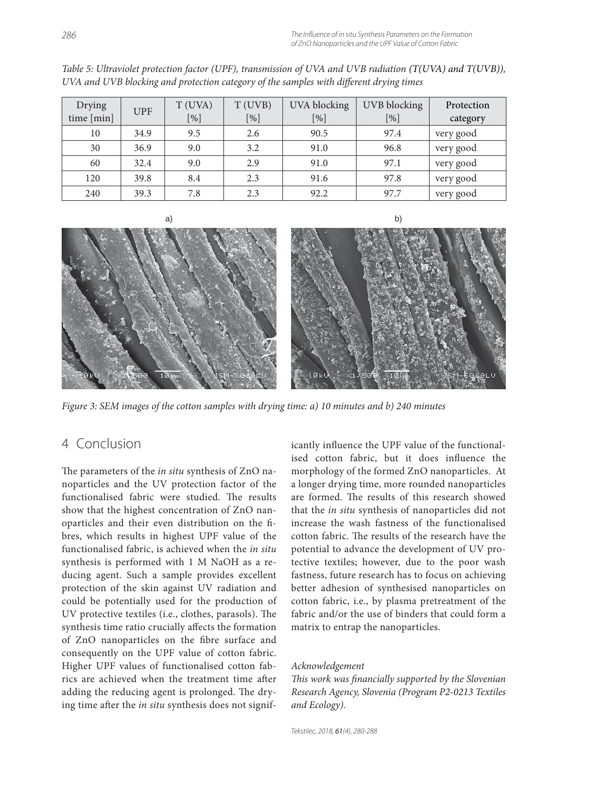| Drying     | <b>UPF</b> | T (UVA) | T (UVB) | <b>UVA</b> blocking | UVB blocking | Protection |
|------------|------------|---------|---------|---------------------|--------------|------------|
| time [min] |            | [%]     | $[\%]$  | $[\%]$              | $[\%]$       | category   |
| 10         | 34.9       | 9.5     | 2.6     | 90.5                | 97.4         | very good  |
| 30         | 36.9       | 9.0     | 3.2     | 91.0                | 96.8         | very good  |
| 60         | 32.4       | 9.0     | 2.9     | 91.0                | 97.1         | very good  |
| 120        | 39.8       | 8.4     | 2.3     | 91.6                | 97.8         | very good  |
| 240        | 39.3       | 7.8     | 2.3     | 92.2                | 97.7         | very good  |

*Table 5: Ultraviolet protection factor (UPF), transmission of UVA and UVB radiation (T(UVA) and T(UVB)),*  UVA and UVB blocking and protection category of the samples with different drying times





*Figure 3: SEM images of the cotton samples with drying time: a) 10 minutes and b) 240 minutes*

# 4 Conclusion

The parameters of the *in situ* synthesis of ZnO nanoparticles and the UV protection factor of the functionalised fabric were studied. The results show that the highest concentration of ZnO nanoparticles and their even distribution on the fibres, which results in highest UPF value of the functionalised fabric, is achieved when the *in situ* synthesis is performed with 1 M NaOH as a reducing agent. Such a sample provides excellent protection of the skin against UV radiation and could be potentially used for the production of UV protective textiles (i.e., clothes, parasols). The synthesis time ratio crucially affects the formation of ZnO nanoparticles on the fibre surface and consequently on the UPF value of cotton fabric. Higher UPF values of functionalised cotton fabrics are achieved when the treatment time after adding the reducing agent is prolonged. The drying time after the *in situ* synthesis does not significantly influence the UPF value of the functionalised cotton fabric, but it does influence the morphology of the formed ZnO nanoparticles. At a longer drying time, more rounded nanoparticles are formed. The results of this research showed that the *in situ* synthesis of nanoparticles did not increase the wash fastness of the functionalised cotton fabric. The results of the research have the potential to advance the development of UV protective textiles; however, due to the poor wash fastness, future research has to focus on achieving better adhesion of synthesised nanoparticles on cotton fabric, i.e., by plasma pretreatment of the fabric and/or the use of binders that could form a matrix to entrap the nanoparticles.

#### *Acknowledgement*

*This work was financially supported by the Slovenian Research Agency, Slovenia (Program P2-0213 Textiles and Ecology).*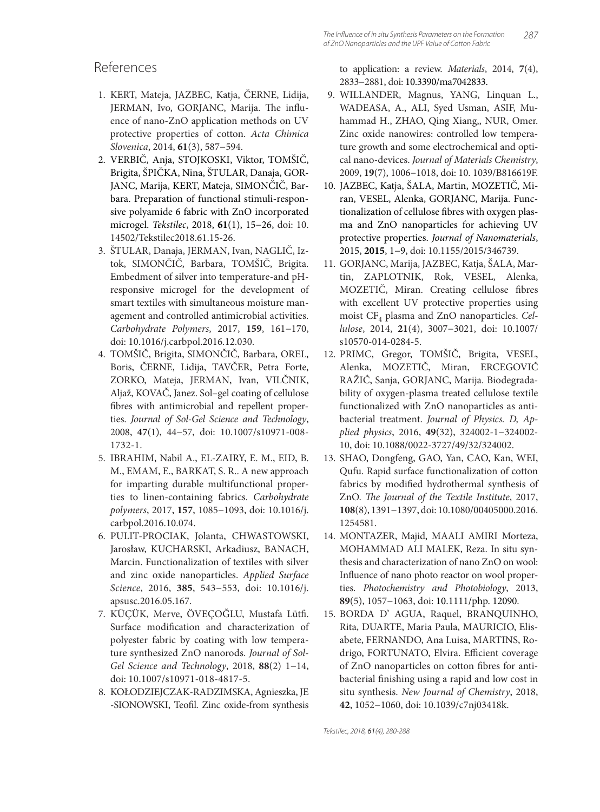### References

- 1. KERT, Mateja, JAZBEC, Katja, ČERNE, Lidija, JERMAN, Ivo, GORJANC, Marija. The influence of nano-ZnO application methods on UV protective properties of cotton. *Acta Chimica Slovenica*, 2014, **61**(3), 587−594.
- 2. VERBIČ, Anja, STOJKOSKI, Viktor, TOMŠIČ, Brigita, ŠPIČKA, Nina, ŠTULAR, Danaja, GOR-JANC, Marija, KERT, Mateja, SIMONČIČ, Barbara. Preparation of functional stimuli-responsive polyamide 6 fabric with ZnO incorporated microgel. *Tekstilec*, 2018, **61**(1), 15−26, doi: 10. 14502/Tekstilec2018.61.15-26.
- 3. ŠTULAR, Danaja, JERMAN, Ivan, NAGLIČ, Iztok, SIMONČIČ, Barbara, TOMŠIČ, Brigita. Embedment of silver into temperature-and pHresponsive microgel for the development of smart textiles with simultaneous moisture management and controlled antimicrobial activities. *Carbohydrate Polymers*, 2017, **159**, 161−170, doi: 10.1016/j.carbpol.2016.12.030.
- 4. TOMŠIČ, Brigita, SIMONČIČ, Barbara, OREL, Boris, ČERNE, Lidija, TAVČER, Petra Forte, ZORKO, Mateja, JERMAN, Ivan, VILČNIK, Aljaž, KOVAČ, Janez. Sol–gel coating of cellulose fibres with antimicrobial and repellent properties. *Journal of Sol-Gel Science and Technology*, 2008, **47**(1), 44−57, doi: 10.1007/s10971-008- 1732-1.
- 5. IBRAHIM, Nabil A., EL-ZAIRY, E. M., EID, B. M., EMAM, E., BARKAT, S. R.. A new approach for imparting durable multifunctional properties to linen-containing fabrics. *Carbohydrate polymers*, 2017, **157**, 1085−1093, doi: 10.1016/j. carbpol.2016.10.074.
- 6. PULIT-PROCIAK, Jolanta, CHWASTOWSKI, Jarosław, KUCHARSKI, Arkadiusz, BANACH, Marcin. Functionalization of textiles with silver and zinc oxide nanoparticles. *Applied Surface Science*, 2016, **385**, 543−553, doi: 10.1016/j. apsusc.2016.05.167.
- 7. KÜÇÜK, Merve, ÖVEÇOĞLU, Mustafa Lütfi. Surface modification and characterization of polyester fabric by coating with low temperature synthesized ZnO nanorods. *Journal of Sol-Gel Science and Technology*, 2018, **88**(2) 1−14, doi: 10.1007/s10971-018-4817-5.
- 8. KOŁODZIEJCZAK-RADZIMSKA, Agnieszka, JE -SIONOWSKI, Teofil. Zinc oxide-from synthesis

to application: a review. *Materials*, 2014, **7**(4), 2833−2881, doi: 10.3390/ma7042833.

- 9. WILLANDER, Magnus, YANG, Linquan L., WADEASA, A., ALI, Syed Usman, ASIF, Muhammad H., ZHAO, Qing Xiang,, NUR, Omer. Zinc oxide nanowires: controlled low temperature growth and some electrochemical and optical nano-devices. *Journal of Materials Chemistry*, 2009, **19**(7), 1006−1018, doi: 10. 1039/B816619F.
- 10. JAZBEC, Katja, ŠALA, Martin, MOZETIČ, Miran, VESEL, Alenka, GORJANC, Marija. Functionalization of cellulose fibres with oxygen plasma and ZnO nanoparticles for achieving UV protective properties. *Journal of Nanomaterials*, 2015, **2015**, 1−9, doi: 10.1155/2015/346739.
- 11. GORJANC, Marija, JAZBEC, Katja, ŠALA, Martin, ZAPLOTNIK, Rok, VESEL, Alenka, MOZETIČ, Miran. Creating cellulose fibres with excellent UV protective properties using moist CF<sub>4</sub> plasma and ZnO nanoparticles. Cel*lulose*, 2014, **21**(4), 3007−3021, doi: 10.1007/ s10570-014-0284-5.
- 12. PRIMC, Gregor, TOMŠIČ, Brigita, VESEL, Alenka, MOZETIČ, Miran, ERCEGOVIĆ RAŽIĆ, Sanja, GORJANC, Marija. Biodegradability of oxygen-plasma treated cellulose textile functionalized with ZnO nanoparticles as antibacterial treatment. *Journal of Physics. D, Applied physics*, 2016, **49**(32), 324002-1−324002- 10, doi: 10.1088/0022-3727/49/32/324002.
- 13. SHAO, Dongfeng, GAO, Yan, CAO, Kan, WEI, Qufu. Rapid surface functionalization of cotton fabrics by modified hydrothermal synthesis of ZnO. *The Journal of the Textile Institute*, 2017, **108**(8), 1391−1397, doi: 10.1080/00405000.2016. 1254581.
- 14. MONTAZER, Majid, MAALI AMIRI Morteza, MOHAMMAD ALI MALEK, Reza. In situ synthesis and characterization of nano ZnO on wool: Influence of nano photo reactor on wool properties. *Photochemistry and Photobiology*, 2013, **89**(5), 1057−1063, doi: 10.1111/php. 12090.
- 15. BORDA D' AGUA, Raquel, BRANQUINHO, Rita, DUARTE, Maria Paula, MAURICIO, Elisabete, FERNANDO, Ana Luisa, MARTINS, Rodrigo, FORTUNATO, Elvira. Efficient coverage of ZnO nanoparticles on cotton fibres for antibacterial finishing using a rapid and low cost in situ synthesis. *New Journal of Chemistry*, 2018, **42**, 1052−1060, doi: 10.1039/c7nj03418k.

Tekstilec, 2018, 61(4), 280-288